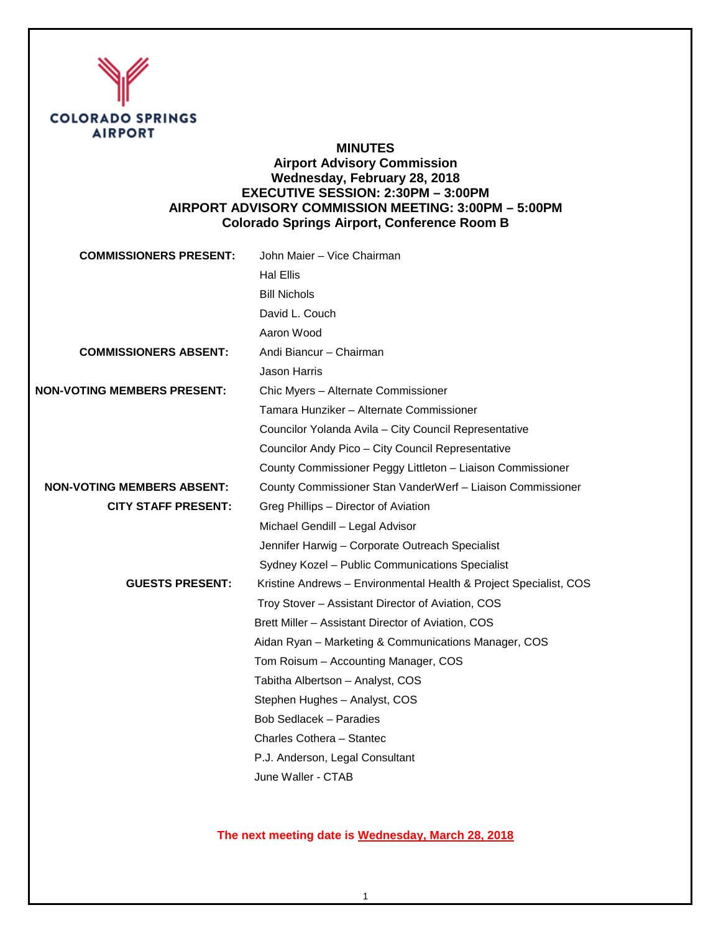

## **MINUTES Airport Advisory Commission Wednesday, February 28, 2018 EXECUTIVE SESSION: 2:30PM – 3:00PM**

# **AIRPORT ADVISORY COMMISSION MEETING: 3:00PM – 5:00PM Colorado Springs Airport, Conference Room B**

| <b>COMMISSIONERS PRESENT:</b>      | John Maier - Vice Chairman                                        |
|------------------------------------|-------------------------------------------------------------------|
|                                    | <b>Hal Ellis</b>                                                  |
|                                    | <b>Bill Nichols</b>                                               |
|                                    | David L. Couch                                                    |
|                                    | Aaron Wood                                                        |
| <b>COMMISSIONERS ABSENT:</b>       | Andi Biancur - Chairman                                           |
|                                    | <b>Jason Harris</b>                                               |
| <b>NON-VOTING MEMBERS PRESENT:</b> | Chic Myers - Alternate Commissioner                               |
|                                    | Tamara Hunziker - Alternate Commissioner                          |
|                                    | Councilor Yolanda Avila - City Council Representative             |
|                                    | Councilor Andy Pico - City Council Representative                 |
|                                    | County Commissioner Peggy Littleton - Liaison Commissioner        |
| <b>NON-VOTING MEMBERS ABSENT:</b>  | County Commissioner Stan VanderWerf - Liaison Commissioner        |
| <b>CITY STAFF PRESENT:</b>         | Greg Phillips - Director of Aviation                              |
|                                    | Michael Gendill - Legal Advisor                                   |
|                                    | Jennifer Harwig - Corporate Outreach Specialist                   |
|                                    | Sydney Kozel - Public Communications Specialist                   |
| <b>GUESTS PRESENT:</b>             | Kristine Andrews - Environmental Health & Project Specialist, COS |
|                                    | Troy Stover - Assistant Director of Aviation, COS                 |
|                                    | Brett Miller - Assistant Director of Aviation, COS                |
|                                    | Aidan Ryan - Marketing & Communications Manager, COS              |
|                                    | Tom Roisum - Accounting Manager, COS                              |
|                                    | Tabitha Albertson - Analyst, COS                                  |
|                                    | Stephen Hughes - Analyst, COS                                     |
|                                    | <b>Bob Sedlacek - Paradies</b>                                    |
|                                    | Charles Cothera - Stantec                                         |
|                                    | P.J. Anderson, Legal Consultant                                   |
|                                    | June Waller - CTAB                                                |

# **The next meeting date is Wednesday, March 28, 2018**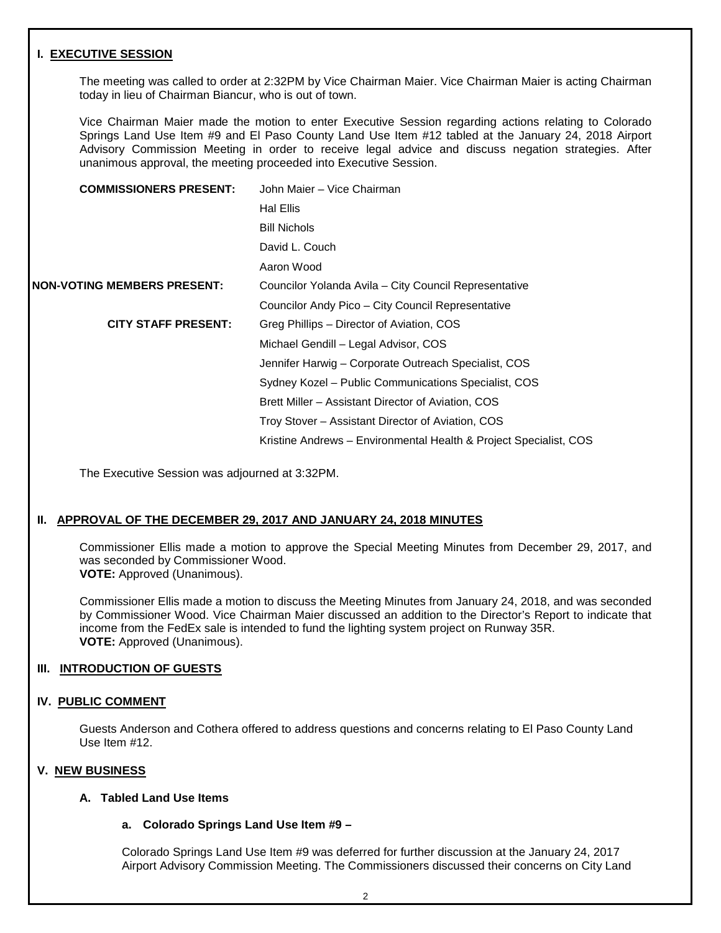### **I. EXECUTIVE SESSION**

The meeting was called to order at 2:32PM by Vice Chairman Maier. Vice Chairman Maier is acting Chairman today in lieu of Chairman Biancur, who is out of town.

Vice Chairman Maier made the motion to enter Executive Session regarding actions relating to Colorado Springs Land Use Item #9 and El Paso County Land Use Item #12 tabled at the January 24, 2018 Airport Advisory Commission Meeting in order to receive legal advice and discuss negation strategies. After unanimous approval, the meeting proceeded into Executive Session.

| <b>COMMISSIONERS PRESENT:</b>      | John Maier - Vice Chairman                                        |
|------------------------------------|-------------------------------------------------------------------|
|                                    | <b>Hal Ellis</b>                                                  |
|                                    | <b>Bill Nichols</b>                                               |
|                                    | David L. Couch                                                    |
|                                    | Aaron Wood                                                        |
| <b>NON-VOTING MEMBERS PRESENT:</b> | Councilor Yolanda Avila – City Council Representative             |
|                                    | Councilor Andy Pico - City Council Representative                 |
| <b>CITY STAFF PRESENT:</b>         | Greg Phillips – Director of Aviation, COS                         |
|                                    | Michael Gendill - Legal Advisor, COS                              |
|                                    | Jennifer Harwig – Corporate Outreach Specialist, COS              |
|                                    | Sydney Kozel - Public Communications Specialist, COS              |
|                                    | Brett Miller – Assistant Director of Aviation, COS                |
|                                    | Troy Stover - Assistant Director of Aviation, COS                 |
|                                    | Kristine Andrews - Environmental Health & Project Specialist, COS |

The Executive Session was adjourned at 3:32PM.

### **II. APPROVAL OF THE DECEMBER 29, 2017 AND JANUARY 24, 2018 MINUTES**

Commissioner Ellis made a motion to approve the Special Meeting Minutes from December 29, 2017, and was seconded by Commissioner Wood. **VOTE:** Approved (Unanimous).

Commissioner Ellis made a motion to discuss the Meeting Minutes from January 24, 2018, and was seconded by Commissioner Wood. Vice Chairman Maier discussed an addition to the Director's Report to indicate that income from the FedEx sale is intended to fund the lighting system project on Runway 35R. **VOTE:** Approved (Unanimous).

### **III. INTRODUCTION OF GUESTS**

### **IV. PUBLIC COMMENT**

Guests Anderson and Cothera offered to address questions and concerns relating to El Paso County Land Use Item #12.

### **V. NEW BUSINESS**

### **A. Tabled Land Use Items**

### **a. Colorado Springs Land Use Item #9 –**

Colorado Springs Land Use Item #9 was deferred for further discussion at the January 24, 2017 Airport Advisory Commission Meeting. The Commissioners discussed their concerns on City Land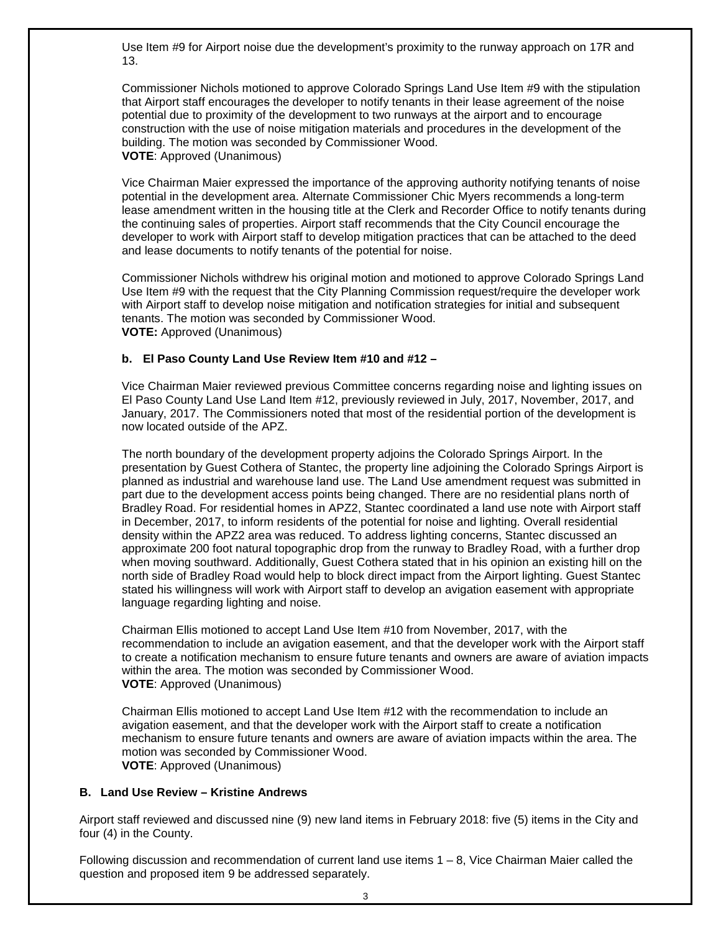Use Item #9 for Airport noise due the development's proximity to the runway approach on 17R and 13.

Commissioner Nichols motioned to approve Colorado Springs Land Use Item #9 with the stipulation that Airport staff encourages the developer to notify tenants in their lease agreement of the noise potential due to proximity of the development to two runways at the airport and to encourage construction with the use of noise mitigation materials and procedures in the development of the building. The motion was seconded by Commissioner Wood. **VOTE**: Approved (Unanimous)

Vice Chairman Maier expressed the importance of the approving authority notifying tenants of noise potential in the development area. Alternate Commissioner Chic Myers recommends a long-term lease amendment written in the housing title at the Clerk and Recorder Office to notify tenants during the continuing sales of properties. Airport staff recommends that the City Council encourage the developer to work with Airport staff to develop mitigation practices that can be attached to the deed and lease documents to notify tenants of the potential for noise.

Commissioner Nichols withdrew his original motion and motioned to approve Colorado Springs Land Use Item #9 with the request that the City Planning Commission request/require the developer work with Airport staff to develop noise mitigation and notification strategies for initial and subsequent tenants. The motion was seconded by Commissioner Wood. **VOTE:** Approved (Unanimous)

### **b. El Paso County Land Use Review Item #10 and #12 –**

Vice Chairman Maier reviewed previous Committee concerns regarding noise and lighting issues on El Paso County Land Use Land Item #12, previously reviewed in July, 2017, November, 2017, and January, 2017. The Commissioners noted that most of the residential portion of the development is now located outside of the APZ.

The north boundary of the development property adjoins the Colorado Springs Airport. In the presentation by Guest Cothera of Stantec, the property line adjoining the Colorado Springs Airport is planned as industrial and warehouse land use. The Land Use amendment request was submitted in part due to the development access points being changed. There are no residential plans north of Bradley Road. For residential homes in APZ2, Stantec coordinated a land use note with Airport staff in December, 2017, to inform residents of the potential for noise and lighting. Overall residential density within the APZ2 area was reduced. To address lighting concerns, Stantec discussed an approximate 200 foot natural topographic drop from the runway to Bradley Road, with a further drop when moving southward. Additionally, Guest Cothera stated that in his opinion an existing hill on the north side of Bradley Road would help to block direct impact from the Airport lighting. Guest Stantec stated his willingness will work with Airport staff to develop an avigation easement with appropriate language regarding lighting and noise.

Chairman Ellis motioned to accept Land Use Item #10 from November, 2017, with the recommendation to include an avigation easement, and that the developer work with the Airport staff to create a notification mechanism to ensure future tenants and owners are aware of aviation impacts within the area. The motion was seconded by Commissioner Wood. **VOTE**: Approved (Unanimous)

Chairman Ellis motioned to accept Land Use Item #12 with the recommendation to include an avigation easement, and that the developer work with the Airport staff to create a notification mechanism to ensure future tenants and owners are aware of aviation impacts within the area. The motion was seconded by Commissioner Wood. **VOTE**: Approved (Unanimous)

### **B. Land Use Review – Kristine Andrews**

Airport staff reviewed and discussed nine (9) new land items in February 2018: five (5) items in the City and four (4) in the County.

Following discussion and recommendation of current land use items 1 – 8, Vice Chairman Maier called the question and proposed item 9 be addressed separately.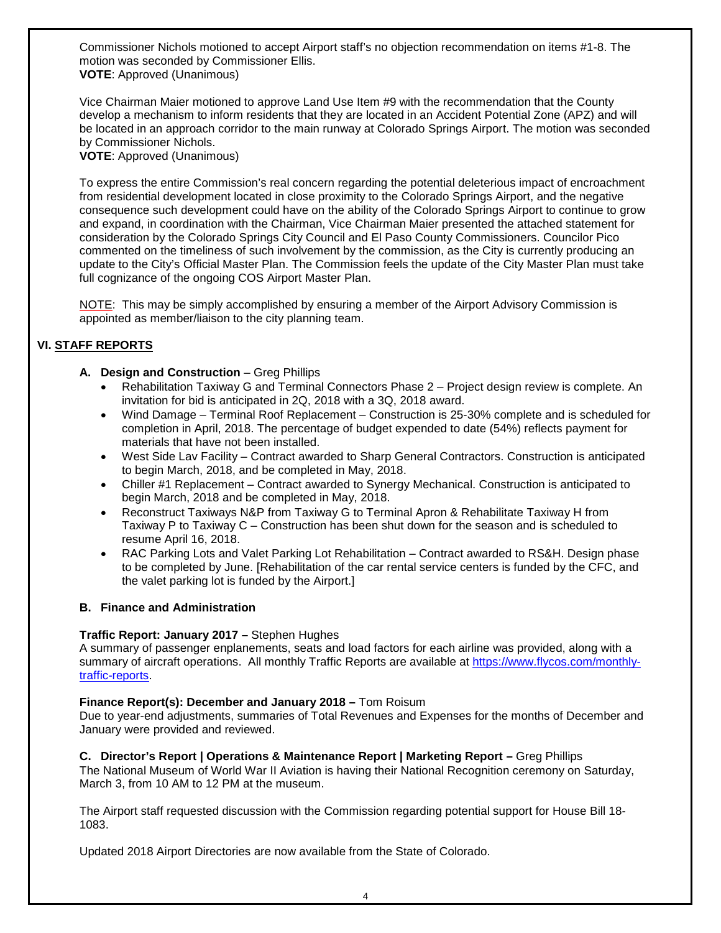Commissioner Nichols motioned to accept Airport staff's no objection recommendation on items #1-8. The motion was seconded by Commissioner Ellis. **VOTE**: Approved (Unanimous)

Vice Chairman Maier motioned to approve Land Use Item #9 with the recommendation that the County develop a mechanism to inform residents that they are located in an Accident Potential Zone (APZ) and will be located in an approach corridor to the main runway at Colorado Springs Airport. The motion was seconded by Commissioner Nichols.

**VOTE**: Approved (Unanimous)

To express the entire Commission's real concern regarding the potential deleterious impact of encroachment from residential development located in close proximity to the Colorado Springs Airport, and the negative consequence such development could have on the ability of the Colorado Springs Airport to continue to grow and expand, in coordination with the Chairman, Vice Chairman Maier presented the attached statement for consideration by the Colorado Springs City Council and El Paso County Commissioners. Councilor Pico commented on the timeliness of such involvement by the commission, as the City is currently producing an update to the City's Official Master Plan. The Commission feels the update of the City Master Plan must take full cognizance of the ongoing COS Airport Master Plan.

NOTE: This may be simply accomplished by ensuring a member of the Airport Advisory Commission is appointed as member/liaison to the city planning team.

## **VI. STAFF REPORTS**

- A. Design and Construction Greg Phillips
	- Rehabilitation Taxiway G and Terminal Connectors Phase 2 Project design review is complete. An invitation for bid is anticipated in 2Q, 2018 with a 3Q, 2018 award.
	- Wind Damage Terminal Roof Replacement Construction is 25-30% complete and is scheduled for completion in April, 2018. The percentage of budget expended to date (54%) reflects payment for materials that have not been installed.
	- West Side Lav Facility Contract awarded to Sharp General Contractors. Construction is anticipated to begin March, 2018, and be completed in May, 2018.
	- Chiller #1 Replacement Contract awarded to Synergy Mechanical. Construction is anticipated to begin March, 2018 and be completed in May, 2018.
	- Reconstruct Taxiways N&P from Taxiway G to Terminal Apron & Rehabilitate Taxiway H from Taxiway P to Taxiway C – Construction has been shut down for the season and is scheduled to resume April 16, 2018.
	- RAC Parking Lots and Valet Parking Lot Rehabilitation Contract awarded to RS&H. Design phase to be completed by June. [Rehabilitation of the car rental service centers is funded by the CFC, and the valet parking lot is funded by the Airport.]

### **B. Finance and Administration**

### **Traffic Report: January 2017 –** Stephen Hughes

A summary of passenger enplanements, seats and load factors for each airline was provided, along with a summary of aircraft operations. All monthly Traffic Reports are available at [https://www.flycos.com/monthly](https://www.flycos.com/monthly-traffic-reports)[traffic-reports.](https://www.flycos.com/monthly-traffic-reports)

### **Finance Report(s): December and January 2018 –** Tom Roisum

Due to year-end adjustments, summaries of Total Revenues and Expenses for the months of December and January were provided and reviewed.

### **C. Director's Report | Operations & Maintenance Report | Marketing Report –** Greg Phillips

The National Museum of World War II Aviation is having their National Recognition ceremony on Saturday, March 3, from 10 AM to 12 PM at the museum.

The Airport staff requested discussion with the Commission regarding potential support for House Bill 18- 1083.

Updated 2018 Airport Directories are now available from the State of Colorado.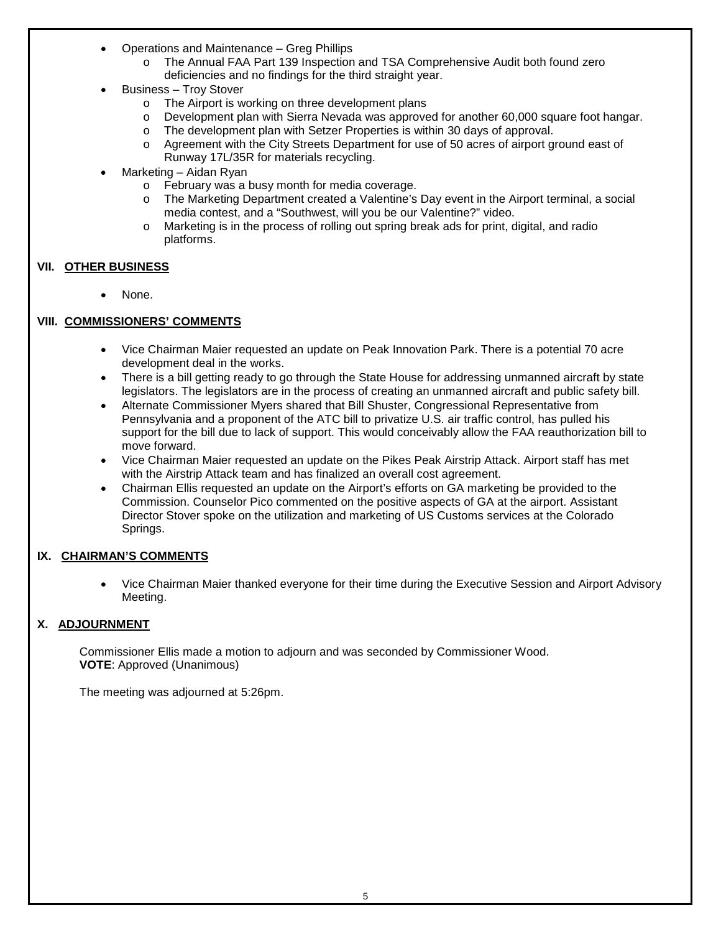- Operations and Maintenance Greg Phillips
	- o The Annual FAA Part 139 Inspection and TSA Comprehensive Audit both found zero deficiencies and no findings for the third straight year.
- Business Troy Stover
	- o The Airport is working on three development plans
	- o Development plan with Sierra Nevada was approved for another 60,000 square foot hangar.<br>
	o The development plan with Setzer Properties is within 30 days of approval.
		- The development plan with Setzer Properties is within 30 days of approval.
	- o Agreement with the City Streets Department for use of 50 acres of airport ground east of Runway 17L/35R for materials recycling.
- Marketing Aidan Ryan
	- o February was a busy month for media coverage.
	- o The Marketing Department created a Valentine's Day event in the Airport terminal, a social media contest, and a "Southwest, will you be our Valentine?" video.
	- o Marketing is in the process of rolling out spring break ads for print, digital, and radio platforms.

## **VII. OTHER BUSINESS**

None.

# **VIII. COMMISSIONERS' COMMENTS**

- Vice Chairman Maier requested an update on Peak Innovation Park. There is a potential 70 acre development deal in the works.
- There is a bill getting ready to go through the State House for addressing unmanned aircraft by state legislators. The legislators are in the process of creating an unmanned aircraft and public safety bill.
- Alternate Commissioner Myers shared that Bill Shuster, Congressional Representative from Pennsylvania and a proponent of the ATC bill to privatize U.S. air traffic control, has pulled his support for the bill due to lack of support. This would conceivably allow the FAA reauthorization bill to move forward.
- Vice Chairman Maier requested an update on the Pikes Peak Airstrip Attack. Airport staff has met with the Airstrip Attack team and has finalized an overall cost agreement.
- Chairman Ellis requested an update on the Airport's efforts on GA marketing be provided to the Commission. Counselor Pico commented on the positive aspects of GA at the airport. Assistant Director Stover spoke on the utilization and marketing of US Customs services at the Colorado Springs.

### **IX. CHAIRMAN'S COMMENTS**

• Vice Chairman Maier thanked everyone for their time during the Executive Session and Airport Advisory Meeting.

### **X. ADJOURNMENT**

Commissioner Ellis made a motion to adjourn and was seconded by Commissioner Wood. **VOTE**: Approved (Unanimous)

The meeting was adjourned at 5:26pm.